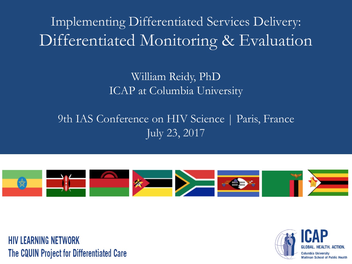Implementing Differentiated Services Delivery: Differentiated Monitoring & Evaluation

#### William Reidy, PhD ICAP at Columbia University

#### 9th IAS Conference on HIV Science | Paris, France July 23, 2017



**HIV LEARNING NETWORK** The CQUIN Project for Differentiated Care

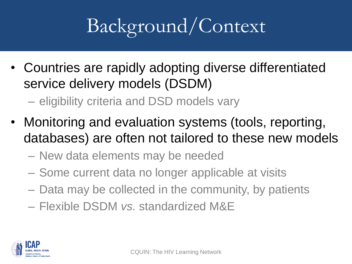# Background/Context

• Countries are rapidly adopting diverse differentiated service delivery models (DSDM)

– eligibility criteria and DSD models vary

- Monitoring and evaluation systems (tools, reporting, databases) are often not tailored to these new models
	- New data elements may be needed
	- Some current data no longer applicable at visits
	- Data may be collected in the community, by patients
	- Flexible DSDM *vs.* standardized M&E

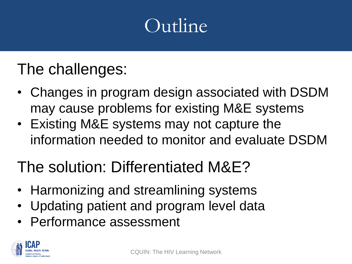## Outline

### The challenges:

- Changes in program design associated with DSDM may cause problems for existing M&E systems
- Existing M&E systems may not capture the information needed to monitor and evaluate DSDM

### The solution: Differentiated M&E?

- Harmonizing and streamlining systems
- Updating patient and program level data
- Performance assessment

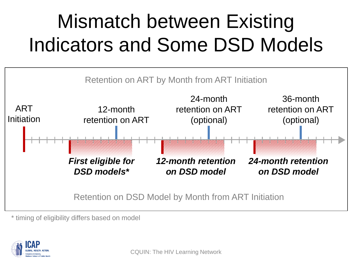# Mismatch between Existing Indicators and Some DSD Models



\* timing of eligibility differs based on model

![](_page_3_Picture_3.jpeg)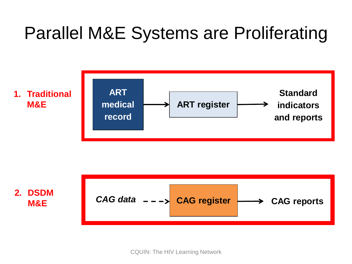## Parallel M&E Systems are Proliferating

![](_page_4_Figure_1.jpeg)

![](_page_4_Figure_2.jpeg)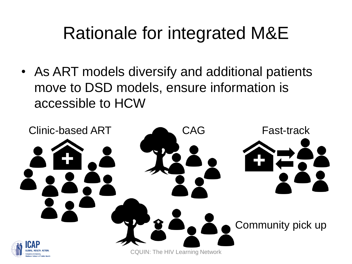## Rationale for integrated M&E

• As ART models diversify and additional patients move to DSD models, ensure information is accessible to HCW

![](_page_5_Picture_2.jpeg)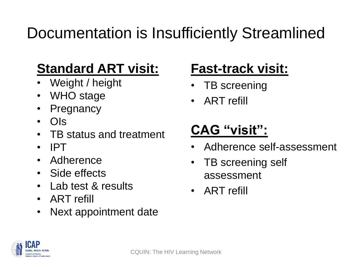### Documentation is Insufficiently Streamlined

#### **Standard ART visit:**

- Weight / height
- WHO stage
- **Pregnancy**
- OIs
- TB status and treatment
- IPT
- **Adherence**
- Side effects
- Lab test & results
- ART refill
- Next appointment date

#### **Fast-track visit:**

- TB screening
- ART refill

#### **CAG "visit":**

- Adherence self-assessment
- TB screening self assessment
- ART refill

![](_page_6_Picture_20.jpeg)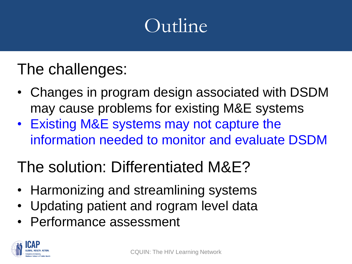## Outline

### The challenges:

- Changes in program design associated with DSDM may cause problems for existing M&E systems
- Existing M&E systems may not capture the information needed to monitor and evaluate DSDM

### The solution: Differentiated M&E?

- Harmonizing and streamlining systems
- Updating patient and rogram level data
- Performance assessment

![](_page_7_Picture_8.jpeg)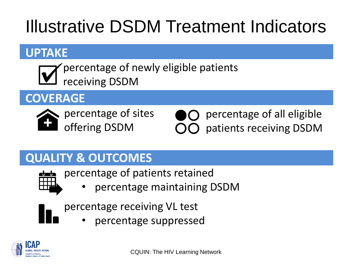# Illustrative DSDM Treatment Indicators

#### **UPTAKE**

percentage of newly eligible patients receiving DSDM

#### **COVERAGE**

percentage of sites offering DSDM

percentage of all eligible patients receiving DSDM

#### **QUALITY & OUTCOMES**

![](_page_8_Picture_8.jpeg)

percentage of patients retained

• percentage maintaining DSDM

percentage receiving VL test

• percentage suppressed

![](_page_8_Picture_13.jpeg)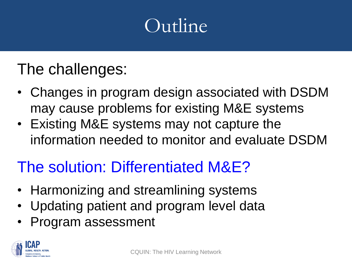## Outline

### The challenges:

- Changes in program design associated with DSDM may cause problems for existing M&E systems
- Existing M&E systems may not capture the information needed to monitor and evaluate DSDM

#### The solution: Differentiated M&E?

- Harmonizing and streamlining systems
- Updating patient and program level data
- Program assessment

![](_page_9_Picture_8.jpeg)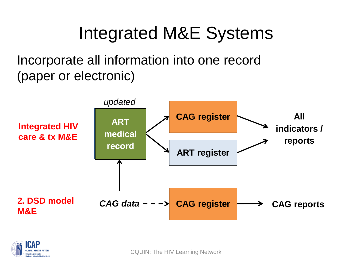## Integrated M&E Systems

Incorporate all information into one record (paper or electronic)

![](_page_10_Figure_2.jpeg)

![](_page_10_Picture_3.jpeg)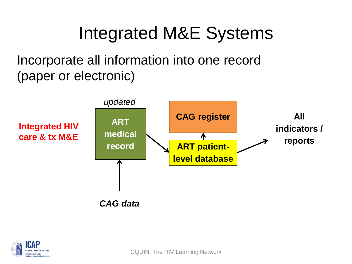## Integrated M&E Systems

Incorporate all information into one record (paper or electronic)

![](_page_11_Figure_2.jpeg)

![](_page_11_Picture_3.jpeg)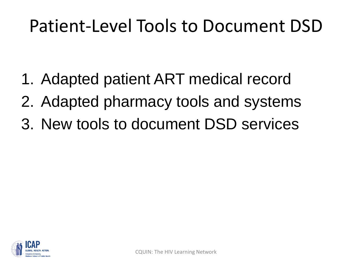## Patient-Level Tools to Document DSD

- 1. Adapted patient ART medical record
- 2. Adapted pharmacy tools and systems
- 3. New tools to document DSD services

![](_page_12_Picture_4.jpeg)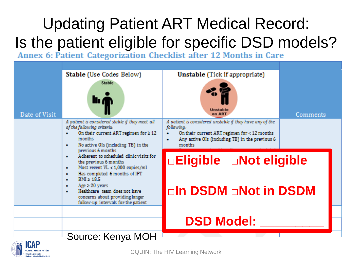# Updating Patient ART Medical Record: Is the patient eligible for specific DSD models?<br>Annex 6: Patient Categorization Checklist after 12 Months in Care

|                                                                               | Stable (Use Codes Below)                                                                                                                                                                                                                                                | Unstable (Tick if appropriate)                                                                                      |          |  |
|-------------------------------------------------------------------------------|-------------------------------------------------------------------------------------------------------------------------------------------------------------------------------------------------------------------------------------------------------------------------|---------------------------------------------------------------------------------------------------------------------|----------|--|
| Date of Visit                                                                 | <b>Stable</b><br>llı A                                                                                                                                                                                                                                                  | Unstable<br>on ART                                                                                                  | Comments |  |
|                                                                               | A patient is considered stable if they meet all<br>of the following criteria:                                                                                                                                                                                           | A patient is considered unstable if they have any of the<br>following:                                              |          |  |
|                                                                               | On their current ART regimen for $\geq 12$<br>٠<br>months                                                                                                                                                                                                               | On their current ART regimen for $<$ 12 months<br>۰<br>Any active OIs (including TB) in the previous 6<br>$\bullet$ |          |  |
|                                                                               | No active OIs (including TB) in the<br>$\bullet$<br>previous 6 months                                                                                                                                                                                                   | months                                                                                                              |          |  |
| Adherent to scheduled clinic visits for<br>$\bullet$<br>the previous 6 months |                                                                                                                                                                                                                                                                         | □Eligible <b>DNot eligible</b>                                                                                      |          |  |
|                                                                               | Most recent VL < 1,000 copies/ml<br>۰<br>Has completed 6 months of IPT<br>۰<br>$BMI \geq 18.5$<br>$\bullet$<br>Age $\geq 20$ years<br>$\bullet$<br>Healthcare team does not have<br>$\bullet$<br>concerns about providing longer<br>follow-up intervals for the patient | □In DSDM □Not in DSDM                                                                                               |          |  |
|                                                                               |                                                                                                                                                                                                                                                                         |                                                                                                                     |          |  |
|                                                                               |                                                                                                                                                                                                                                                                         | <b>DSD Model:</b>                                                                                                   |          |  |
| <b>COLONIA</b>                                                                | Source: Kenya MOH                                                                                                                                                                                                                                                       |                                                                                                                     |          |  |

CQUIN: The HIV Learning Network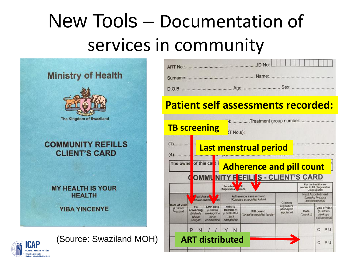# New Tools – Documentation of services in community

![](_page_14_Picture_1.jpeg)

![](_page_14_Picture_2.jpeg)

(Source: Swaziland MOH)

| <b>ART No.:</b><br><b>PARTY OF THE TWO CONTRACTOR</b> | JD No: |
|-------------------------------------------------------|--------|
| Surname:                                              |        |
| $D.O.B$ :                                             |        |

#### **Patient self assessments recorded:**

![](_page_14_Figure_6.jpeg)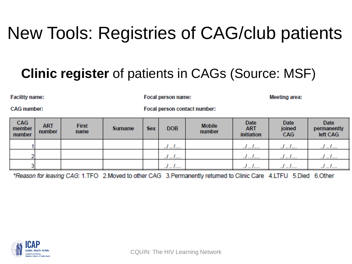## New Tools: Registries of CAG/club patients

#### **Clinic register** of patients in CAGs (Source: MSF)

**Facility name:** 

Focal person name:

**Meeting area:** 

**CAG** number:

Focal person contact number:

| CAG<br>member<br>number | <b>ART</b><br>number | <b>First</b><br>name | <b>Surname</b> | <b>Sex</b> | <b>DOB</b> | <b>Mobile</b><br>number | Date<br><b>ART</b><br>initiation | <b>Date</b><br>joined<br>CAG | <b>Date</b><br>permanently<br>left CAG |
|-------------------------|----------------------|----------------------|----------------|------------|------------|-------------------------|----------------------------------|------------------------------|----------------------------------------|
|                         |                      |                      |                |            | .          |                         | l <i>.</i> l<br>.                | <u>.</u>                     |                                        |
|                         |                      |                      |                |            |            |                         | JI                               | J <i>I</i>                   |                                        |
|                         |                      |                      |                |            | . <i>.</i> |                         | I<br>                            |                              | .                                      |

\*Reason for leaving CAG: 1.TFO 2.Moved to other CAG 3.Permanently returned to Clinic Care 4.LTFU 5.Died 6.Other

![](_page_15_Picture_9.jpeg)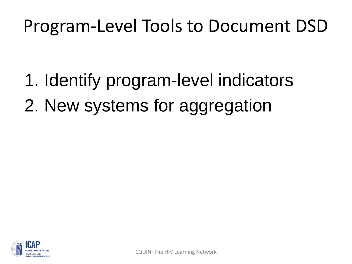## Program-Level Tools to Document DSD

- 1. Identify program-level indicators
- 2. New systems for aggregation

![](_page_16_Picture_3.jpeg)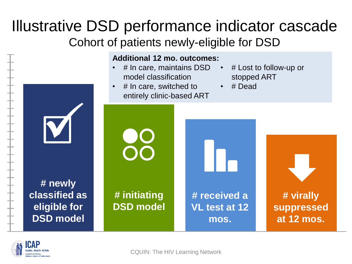#### Illustrative DSD performance indicator cascade Cohort of patients newly-eligible for DSD

![](_page_17_Figure_1.jpeg)

![](_page_17_Picture_2.jpeg)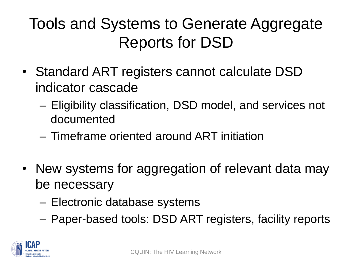### Tools and Systems to Generate Aggregate Reports for DSD

- Standard ART registers cannot calculate DSD indicator cascade
	- Eligibility classification, DSD model, and services not documented
	- Timeframe oriented around ART initiation
- New systems for aggregation of relevant data may be necessary
	- Electronic database systems
	- Paper-based tools: DSD ART registers, facility reports

![](_page_18_Picture_7.jpeg)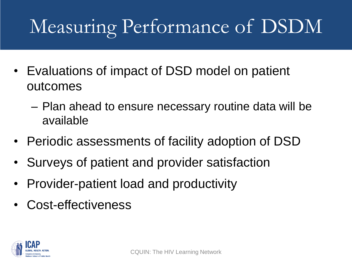# Measuring Performance of DSDM

- Evaluations of impact of DSD model on patient outcomes
	- Plan ahead to ensure necessary routine data will be available
- Periodic assessments of facility adoption of DSD
- Surveys of patient and provider satisfaction
- Provider-patient load and productivity
- Cost-effectiveness

![](_page_19_Picture_7.jpeg)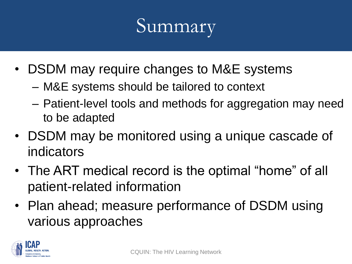## Summary

- DSDM may require changes to M&E systems
	- M&E systems should be tailored to context
	- Patient-level tools and methods for aggregation may need to be adapted
- DSDM may be monitored using a unique cascade of indicators
- The ART medical record is the optimal "home" of all patient-related information
- Plan ahead; measure performance of DSDM using various approaches

![](_page_20_Picture_7.jpeg)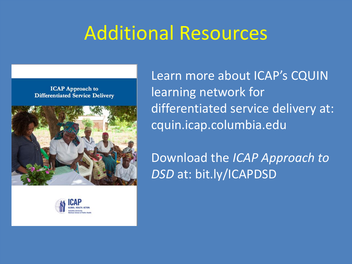## Additional Resources

**ICAP Approach to Differentiated Service Delivery** 

![](_page_21_Picture_2.jpeg)

![](_page_21_Picture_3.jpeg)

Learn more about ICAP's CQUIN learning network for differentiated service delivery at: cquin.icap.columbia.edu

Download the *ICAP Approach to DSD* at: bit.ly/ICAPDSD